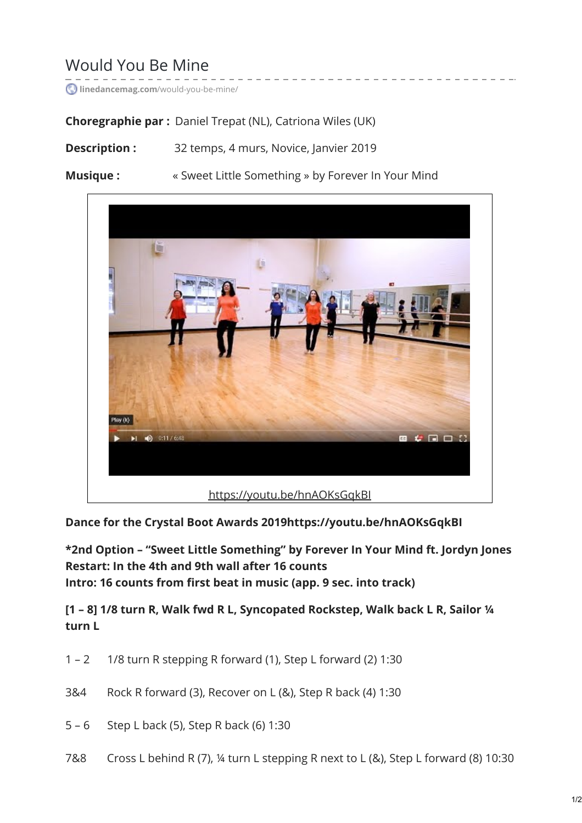# Would You Be Mine

**linedancemag.com**[/would-you-be-mine/](https://www.linedancemag.com/would-you-be-mine/)

**Choregraphie par :** Daniel Trepat (NL), Catriona Wiles (UK)

- **Description :** 32 temps, 4 murs, Novice, Janvier 2019
- **Musique :**  $\cdot$  w Sweet Little Something » by Forever In Your Mind



**Dance for the Crystal Boot Awards 2019https://youtu.be/hnAOKsGqkBI**

**\*2nd Option – "Sweet Little Something" by Forever In Your Mind ft. Jordyn Jones Restart: In the 4th and 9th wall after 16 counts Intro: 16 counts from first beat in music (app. 9 sec. into track)**

**[1 – 8] 1/8 turn R, Walk fwd R L, Syncopated Rockstep, Walk back L R, Sailor ¼ turn L**

- 1 2 1/8 turn R stepping R forward (1), Step L forward (2) 1:30
- 3&4 Rock R forward (3), Recover on L (&), Step R back (4) 1:30
- 5 6 Step L back (5), Step R back (6) 1:30
- 7&8 Cross L behind R (7), ¼ turn L stepping R next to L (&), Step L forward (8) 10:30